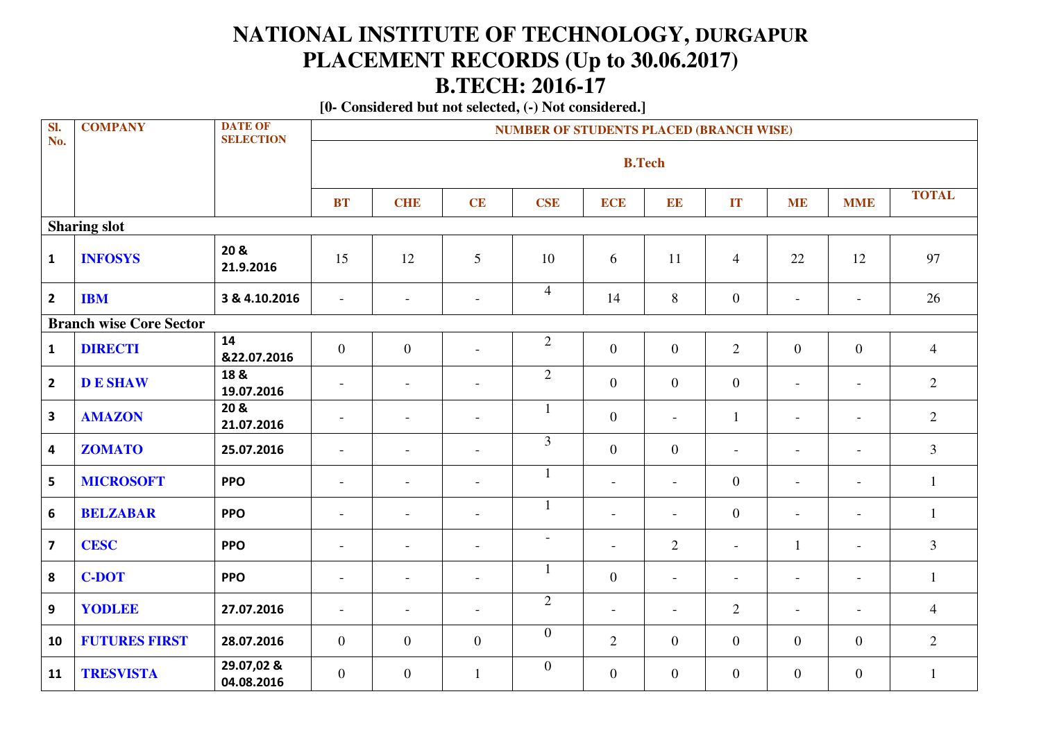## **NATIONAL INSTITUTE OF TECHNOLOGY, DURGAPUR PLACEMENT RECORDS (Up to 30.06.2017) B.TECH: 2016-17**

 **[0- Considered but not selected, (-) Not considered.]**

| SI.<br>No.              | <b>COMPANY</b>                 | <b>DATE OF</b><br><b>SELECTION</b> |                          | <b>NUMBER OF STUDENTS PLACED (BRANCH WISE)</b> |                          |                  |                          |                          |                          |                          |                          |                |  |  |  |
|-------------------------|--------------------------------|------------------------------------|--------------------------|------------------------------------------------|--------------------------|------------------|--------------------------|--------------------------|--------------------------|--------------------------|--------------------------|----------------|--|--|--|
|                         |                                |                                    |                          |                                                |                          |                  | <b>B.Tech</b>            |                          |                          |                          |                          |                |  |  |  |
|                         |                                |                                    | <b>BT</b>                | <b>CHE</b>                                     | CE                       | <b>CSE</b>       | <b>ECE</b>               | EE                       | IT                       | <b>ME</b>                | <b>MME</b>               | <b>TOTAL</b>   |  |  |  |
|                         | <b>Sharing slot</b>            |                                    |                          |                                                |                          |                  |                          |                          |                          |                          |                          |                |  |  |  |
| $\mathbf{1}$            | <b>INFOSYS</b>                 | 20 &<br>21.9.2016                  | 15                       | 12                                             | 5                        | 10               | 6                        | 11                       | $\overline{4}$           | 22                       | 12                       | 97             |  |  |  |
| $\overline{2}$          | <b>IBM</b>                     | 3 & 4.10.2016                      | $\overline{\phantom{a}}$ | $\overline{\phantom{a}}$                       | $\blacksquare$           | $\overline{4}$   | 14                       | 8                        | $\overline{0}$           | $\overline{\phantom{a}}$ | $\overline{\phantom{a}}$ | 26             |  |  |  |
|                         | <b>Branch wise Core Sector</b> |                                    |                          |                                                |                          |                  |                          |                          |                          |                          |                          |                |  |  |  |
| $\mathbf{1}$            | <b>DIRECTI</b>                 | 14<br>&22.07.2016                  | $\overline{0}$           | $\mathbf{0}$                                   | $\overline{a}$           | $\overline{2}$   | $\overline{0}$           | $\overline{0}$           | $\overline{2}$           | $\overline{0}$           | $\overline{0}$           | $\overline{4}$ |  |  |  |
| $\overline{2}$          | <b>DE SHAW</b>                 | 18 &<br>19.07.2016                 | $\overline{\phantom{0}}$ | $\blacksquare$                                 | $\overline{\phantom{a}}$ | $\overline{2}$   | $\overline{0}$           | $\mathbf{0}$             | $\overline{0}$           | $\overline{\phantom{a}}$ | $\blacksquare$           | $\overline{2}$ |  |  |  |
| $\overline{\mathbf{3}}$ | <b>AMAZON</b>                  | 20 &<br>21.07.2016                 | $\overline{a}$           | $\overline{a}$                                 | $\overline{\phantom{a}}$ | $\mathbf{1}$     | $\mathbf{0}$             | $\blacksquare$           | $\mathbf{1}$             | $\overline{\phantom{a}}$ | $\sim$                   | $\overline{2}$ |  |  |  |
| $\overline{\mathbf{4}}$ | <b>ZOMATO</b>                  | 25.07.2016                         | $\overline{\phantom{a}}$ | $\overline{a}$                                 | $\overline{\phantom{a}}$ | $\overline{3}$   | $\mathbf{0}$             | $\boldsymbol{0}$         | $\overline{a}$           | $\overline{\phantom{a}}$ | $\overline{\phantom{a}}$ | $\overline{3}$ |  |  |  |
| 5                       | <b>MICROSOFT</b>               | <b>PPO</b>                         | $\overline{\phantom{a}}$ | $\overline{\phantom{a}}$                       | $\overline{\phantom{a}}$ | $\mathbf{1}$     | $\overline{\phantom{a}}$ | $\overline{a}$           | $\overline{0}$           | $\overline{\phantom{a}}$ | $\overline{\phantom{a}}$ | 1              |  |  |  |
| 6                       | <b>BELZABAR</b>                | <b>PPO</b>                         | $\overline{a}$           | $\overline{a}$                                 | $\overline{a}$           | 1                | $\overline{\phantom{a}}$ | $\overline{a}$           | $\overline{0}$           | $\blacksquare$           | $\blacksquare$           | 1              |  |  |  |
| $\overline{\mathbf{z}}$ | <b>CESC</b>                    | <b>PPO</b>                         | $\overline{\phantom{a}}$ | $\blacksquare$                                 | $\overline{\phantom{a}}$ | $\blacksquare$   | $\overline{\phantom{a}}$ | $\mathbf{2}$             | $\overline{\phantom{a}}$ | $\mathbf{1}$             | $\overline{\phantom{a}}$ | $\overline{3}$ |  |  |  |
| 8                       | <b>C-DOT</b>                   | <b>PPO</b>                         | $\blacksquare$           | $\overline{a}$                                 | $\overline{\phantom{a}}$ | $\mathbf{1}$     | $\boldsymbol{0}$         | $\overline{\phantom{a}}$ | $\blacksquare$           | $\overline{\phantom{a}}$ | $\overline{\phantom{a}}$ | $\mathbf{1}$   |  |  |  |
| $\overline{9}$          | YODLEE                         | 27.07.2016                         | $\overline{\phantom{a}}$ | $\overline{a}$                                 | $\overline{a}$           | $\overline{2}$   | $\overline{\phantom{a}}$ | $\overline{\phantom{a}}$ | $\overline{2}$           | $\overline{a}$           | $\overline{\phantom{a}}$ | $\overline{4}$ |  |  |  |
| 10                      | <b>FUTURES FIRST</b>           | 28.07.2016                         | $\overline{0}$           | $\boldsymbol{0}$                               | $\overline{0}$           | $\boldsymbol{0}$ | $\overline{2}$           | $\mathbf{0}$             | $\overline{0}$           | $\overline{0}$           | $\overline{0}$           | 2              |  |  |  |
| 11                      | <b>TRESVISTA</b>               | 29.07,02 &<br>04.08.2016           | $\overline{0}$           | $\boldsymbol{0}$                               | $\mathbf{1}$             | $\boldsymbol{0}$ | $\mathbf{0}$             | $\mathbf{0}$             | $\overline{0}$           | $\mathbf{0}$             | $\overline{0}$           | 1              |  |  |  |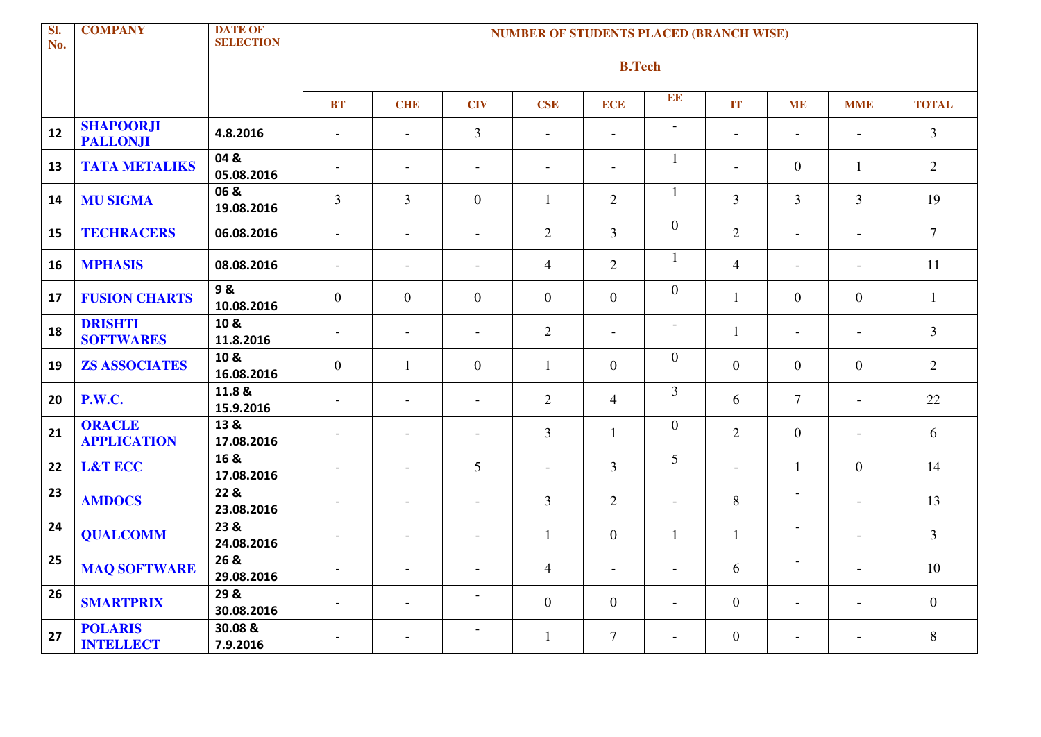| $\overline{\mathbf{S}}$<br>No. | <b>COMPANY</b>                      | <b>DATE OF</b><br><b>SELECTION</b> |                          |                          |                          | <b>NUMBER OF STUDENTS PLACED (BRANCH WISE)</b> |                          |                          |                          |                          |                          |                |
|--------------------------------|-------------------------------------|------------------------------------|--------------------------|--------------------------|--------------------------|------------------------------------------------|--------------------------|--------------------------|--------------------------|--------------------------|--------------------------|----------------|
|                                |                                     |                                    |                          |                          |                          |                                                | <b>B.Tech</b>            |                          |                          |                          |                          |                |
|                                |                                     |                                    | BT                       | <b>CHE</b>               | <b>CIV</b>               | <b>CSE</b>                                     | <b>ECE</b>               | EE                       | IT                       | <b>ME</b>                | <b>MME</b>               | <b>TOTAL</b>   |
| 12                             | <b>SHAPOORJI</b><br><b>PALLONJI</b> | 4.8.2016                           | $\overline{a}$           | $\blacksquare$           | 3                        | $\overline{\phantom{a}}$                       | $\overline{\phantom{a}}$ | $\overline{\phantom{a}}$ | $\overline{\phantom{a}}$ | $\blacksquare$           | $\overline{\phantom{a}}$ | $\overline{3}$ |
| 13                             | <b>TATA METALIKS</b>                | 04 &<br>05.08.2016                 | $\sim$                   | $\blacksquare$           | $\overline{\phantom{a}}$ | $\overline{\phantom{a}}$                       | $\overline{\phantom{a}}$ | $\mathbf{1}$             | $\overline{a}$           | $\overline{0}$           | $\mathbf{1}$             | $\overline{2}$ |
| 14                             | <b>MU SIGMA</b>                     | 06 &<br>19.08.2016                 | $\overline{3}$           | $\overline{3}$           | $\overline{0}$           | $\mathbf{1}$                                   | $\overline{2}$           | $\mathbf{1}$             | $\overline{3}$           | $\overline{3}$           | $\overline{3}$           | 19             |
| 15                             | <b>TECHRACERS</b>                   | 06.08.2016                         | $\sim$                   | $\blacksquare$           | $\equiv$                 | $\overline{2}$                                 | $\overline{3}$           | $\boldsymbol{0}$         | $\overline{2}$           | $\blacksquare$           | $\blacksquare$           | $\overline{7}$ |
| 16                             | <b>MPHASIS</b>                      | 08.08.2016                         | $\blacksquare$           | $\blacksquare$           | $\blacksquare$           | $\overline{4}$                                 | $\overline{2}$           | $\mathbf{1}$             | $\overline{4}$           | $\overline{\phantom{a}}$ | $\blacksquare$           | 11             |
| 17                             | <b>FUSION CHARTS</b>                | 9&<br>10.08.2016                   | $\overline{0}$           | $\overline{0}$           | $\overline{0}$           | $\overline{0}$                                 | $\overline{0}$           | $\boldsymbol{0}$         | $\mathbf{1}$             | $\mathbf{0}$             | $\overline{0}$           | $\mathbf{1}$   |
| 18                             | <b>DRISHTI</b><br><b>SOFTWARES</b>  | 10 &<br>11.8.2016                  | $\sim$                   | $\overline{\phantom{a}}$ | $\overline{\phantom{a}}$ | $\overline{2}$                                 | $\overline{\phantom{a}}$ | $\overline{\phantom{a}}$ | $\mathbf{1}$             | $\overline{\phantom{a}}$ | $\overline{\phantom{a}}$ | $\overline{3}$ |
| 19                             | <b>ZS ASSOCIATES</b>                | 10 &<br>16.08.2016                 | $\overline{0}$           | $\mathbf{1}$             | $\theta$                 | $\mathbf{1}$                                   | $\theta$                 | $\boldsymbol{0}$         | $\Omega$                 | $\overline{0}$           | $\Omega$                 | $\overline{2}$ |
| 20                             | <b>P.W.C.</b>                       | 11.8 &<br>15.9.2016                | $\overline{\phantom{a}}$ | $\overline{\phantom{a}}$ | $\overline{\phantom{a}}$ | $\overline{2}$                                 | $\overline{4}$           | $\overline{3}$           | 6                        | $\tau$                   | $\equiv$                 | 22             |
| 21                             | <b>ORACLE</b><br><b>APPLICATION</b> | 13 &<br>17.08.2016                 | $\overline{\phantom{a}}$ | $\overline{\phantom{a}}$ | $\overline{\phantom{a}}$ | $\overline{3}$                                 | $\mathbf{1}$             | $\mathbf{0}$             | $\overline{2}$           | $\overline{0}$           | $\overline{\phantom{a}}$ | 6              |
| 22                             | <b>L&amp;T ECC</b>                  | 16 &<br>17.08.2016                 | $\overline{\phantom{a}}$ | $\overline{\phantom{a}}$ | $5\overline{)}$          | $\overline{\phantom{a}}$                       | $\overline{3}$           | 5                        | $\overline{\phantom{a}}$ | $\mathbf{1}$             | $\overline{0}$           | 14             |
| 23                             | <b>AMDOCS</b>                       | 22 &<br>23.08.2016                 | $\blacksquare$           | $\blacksquare$           | $\blacksquare$           | $\overline{3}$                                 | $\overline{2}$           | $\mathcal{L}$            | 8                        | $\overline{\phantom{a}}$ | $\equiv$                 | 13             |
| 24                             | <b>QUALCOMM</b>                     | 23 &<br>24.08.2016                 | $\blacksquare$           | $\blacksquare$           | $\blacksquare$           | $\mathbf{1}$                                   | $\mathbf{0}$             | $\mathbf{1}$             | $\mathbf{1}$             | $\overline{\phantom{a}}$ | $\blacksquare$           | $\overline{3}$ |
| 25                             | <b>MAQ SOFTWARE</b>                 | 26 &<br>29.08.2016                 | $\overline{\phantom{a}}$ | $\overline{a}$           | $\overline{a}$           | $\overline{4}$                                 | $\overline{\phantom{a}}$ | $\blacksquare$           | 6                        | $\overline{\phantom{a}}$ | $\blacksquare$           | 10             |
| 26                             | <b>SMARTPRIX</b>                    | 29 &<br>30.08.2016                 | $\overline{\phantom{a}}$ | $\blacksquare$           | $\blacksquare$           | $\overline{0}$                                 | $\mathbf{0}$             | $\blacksquare$           | $\mathbf{0}$             | $\overline{\phantom{a}}$ | $\blacksquare$           | $\overline{0}$ |
| 27                             | <b>POLARIS</b><br><b>INTELLECT</b>  | 30.08 &<br>7.9.2016                |                          |                          |                          | $\mathbf{1}$                                   | $\overline{7}$           | $\overline{\phantom{0}}$ | $\overline{0}$           | $\overline{\phantom{a}}$ | $\overline{\phantom{a}}$ | 8              |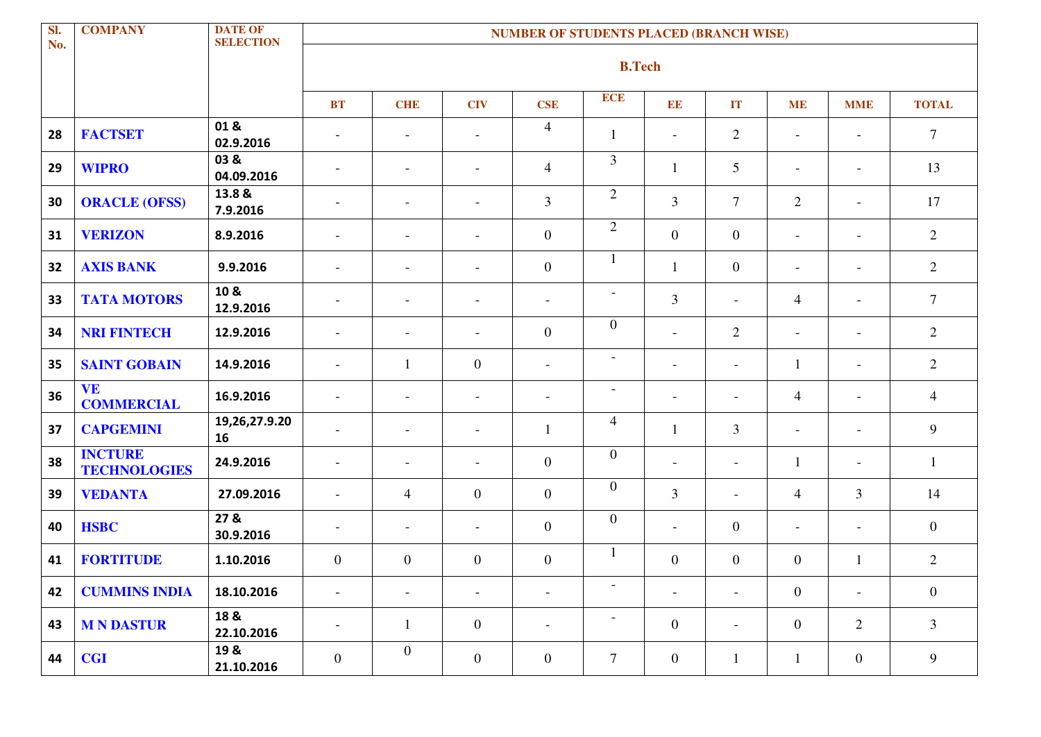| Sl.<br>No. | <b>COMPANY</b>                        | <b>DATE OF</b><br><b>SELECTION</b> |                          |                          |                          | <b>NUMBER OF STUDENTS PLACED (BRANCH WISE)</b> |                          |                          |                          |                          |                          |                |
|------------|---------------------------------------|------------------------------------|--------------------------|--------------------------|--------------------------|------------------------------------------------|--------------------------|--------------------------|--------------------------|--------------------------|--------------------------|----------------|
|            |                                       |                                    |                          |                          |                          |                                                | <b>B.Tech</b>            |                          |                          |                          |                          |                |
|            |                                       |                                    | <b>BT</b>                | <b>CHE</b>               | <b>CIV</b>               | <b>CSE</b>                                     | <b>ECE</b>               | EE                       | IT                       | <b>ME</b>                | <b>MME</b>               | <b>TOTAL</b>   |
| 28         | <b>FACTSET</b>                        | 01&<br>02.9.2016                   | $\overline{\phantom{a}}$ | $\overline{a}$           | $\blacksquare$           | $\overline{4}$                                 | $\mathbf{1}$             | $\overline{\phantom{a}}$ | $\overline{2}$           | $\overline{\phantom{a}}$ | $\blacksquare$           | $\overline{7}$ |
| 29         | <b>WIPRO</b>                          | 03 &<br>04.09.2016                 | $\sim$                   | $\blacksquare$           | $\blacksquare$           | $\overline{4}$                                 | 3                        | $\mathbf{1}$             | 5                        | $-$                      | $\overline{\phantom{a}}$ | 13             |
| 30         | <b>ORACLE (OFSS)</b>                  | 13.8 &<br>7.9.2016                 | $\overline{\phantom{a}}$ | $\blacksquare$           | $\overline{\phantom{a}}$ | $\mathfrak{Z}$                                 | $\overline{2}$           | $\mathfrak{Z}$           | $\overline{7}$           | 2                        | $\overline{\phantom{a}}$ | 17             |
| 31         | <b>VERIZON</b>                        | 8.9.2016                           | $\sim$                   | $\blacksquare$           | $\overline{\phantom{a}}$ | $\boldsymbol{0}$                               | $\overline{2}$           | $\boldsymbol{0}$         | $\mathbf{0}$             | $-$                      | $\overline{\phantom{a}}$ | 2              |
| 32         | <b>AXIS BANK</b>                      | 9.9.2016                           | $\overline{\phantom{a}}$ | $\overline{a}$           | $\overline{\phantom{a}}$ | $\boldsymbol{0}$                               | $\mathbf{1}$             | $\mathbf{1}$             | $\overline{0}$           | $\blacksquare$           | $\blacksquare$           | $\overline{2}$ |
| 33         | <b>TATA MOTORS</b>                    | 10 &<br>12.9.2016                  | $\overline{\phantom{a}}$ | $\overline{\phantom{a}}$ | $\overline{\phantom{a}}$ | $\overline{\phantom{a}}$                       | $\overline{\phantom{a}}$ | $\mathfrak{Z}$           | $\overline{\phantom{a}}$ | $\overline{4}$           | $\overline{\phantom{a}}$ | $\overline{7}$ |
| 34         | <b>NRI FINTECH</b>                    | 12.9.2016                          | $\sim$                   | $\overline{\phantom{a}}$ | $\overline{\phantom{a}}$ | $\overline{0}$                                 | $\mathbf{0}$             | $\overline{\phantom{a}}$ | $\overline{2}$           | $\overline{\phantom{a}}$ | $\overline{\phantom{a}}$ | 2              |
| 35         | <b>SAINT GOBAIN</b>                   | 14.9.2016                          | $\overline{\phantom{a}}$ | -1                       | $\overline{0}$           | $\overline{\phantom{a}}$                       | $\overline{\phantom{a}}$ | $\overline{\phantom{a}}$ | $\overline{\phantom{a}}$ | $\mathbf{1}$             | $\overline{\phantom{a}}$ | 2              |
| 36         | <b>VE</b><br><b>COMMERCIAL</b>        | 16.9.2016                          | $\sim$                   | $\blacksquare$           | $\blacksquare$           | $\overline{\phantom{a}}$                       | $\overline{\phantom{a}}$ | $\overline{\phantom{a}}$ | $\blacksquare$           | $\overline{4}$           | $\overline{\phantom{a}}$ | $\overline{4}$ |
| 37         | <b>CAPGEMINI</b>                      | 19,26,27.9.20<br>16                | $\sim$                   | $\blacksquare$           | $\blacksquare$           | $\mathbf{1}$                                   | $\overline{4}$           | $\mathbf{1}$             | $\overline{3}$           | $\overline{\phantom{a}}$ | $\overline{\phantom{a}}$ | 9              |
| 38         | <b>INCTURE</b><br><b>TECHNOLOGIES</b> | 24.9.2016                          | $\overline{\phantom{a}}$ | $\overline{\phantom{a}}$ | $\overline{\phantom{a}}$ | $\overline{0}$                                 | $\mathbf{0}$             | $\overline{\phantom{a}}$ | $\overline{\phantom{a}}$ | $\mathbf{1}$             | $\overline{\phantom{a}}$ | 1              |
| 39         | <b>VEDANTA</b>                        | 27.09.2016                         | $\sim$                   | $\overline{4}$           | $\overline{0}$           | $\overline{0}$                                 | $\mathbf{0}$             | $\mathfrak{Z}$           | $\overline{\phantom{a}}$ | $\overline{4}$           | $\overline{3}$           | 14             |
| 40         | <b>HSBC</b>                           | 27 &<br>30.9.2016                  | $\overline{\phantom{a}}$ | $\blacksquare$           | $\overline{\phantom{a}}$ | $\overline{0}$                                 | $\boldsymbol{0}$         | $\overline{\phantom{a}}$ | $\overline{0}$           | $\blacksquare$           | $\overline{\phantom{a}}$ | $\overline{0}$ |
| 41         | <b>FORTITUDE</b>                      | 1.10.2016                          | $\boldsymbol{0}$         | $\mathbf{0}$             | $\overline{0}$           | $\overline{0}$                                 | $\mathbf{1}$             | $\mathbf{0}$             | $\overline{0}$           | $\boldsymbol{0}$         | -1                       | $\overline{2}$ |
| 42         | <b>CUMMINS INDIA</b>                  | 18.10.2016                         | $\overline{\phantom{a}}$ | $\overline{\phantom{a}}$ | $\overline{\phantom{a}}$ | $\overline{\phantom{a}}$                       | $\overline{\phantom{a}}$ | $\overline{\phantom{a}}$ | $\overline{\phantom{a}}$ | $\boldsymbol{0}$         | $\overline{\phantom{a}}$ | $\overline{0}$ |
| 43         | <b>MNDASTUR</b>                       | 18 &<br>22.10.2016                 | $\overline{\phantom{a}}$ | $\mathbf{1}$             | $\overline{0}$           | $\overline{\phantom{a}}$                       | $\overline{\phantom{a}}$ | $\boldsymbol{0}$         | $\overline{\phantom{a}}$ | $\overline{0}$           | $\overline{2}$           | $\overline{3}$ |
| 44         | <b>CGI</b>                            | 19 &<br>21.10.2016                 | $\boldsymbol{0}$         | $\overline{0}$           | $\overline{0}$           | $\mathbf{0}$                                   | $\tau$                   | $\boldsymbol{0}$         | $\mathbf{1}$             | $\mathbf{1}$             | $\overline{0}$           | 9              |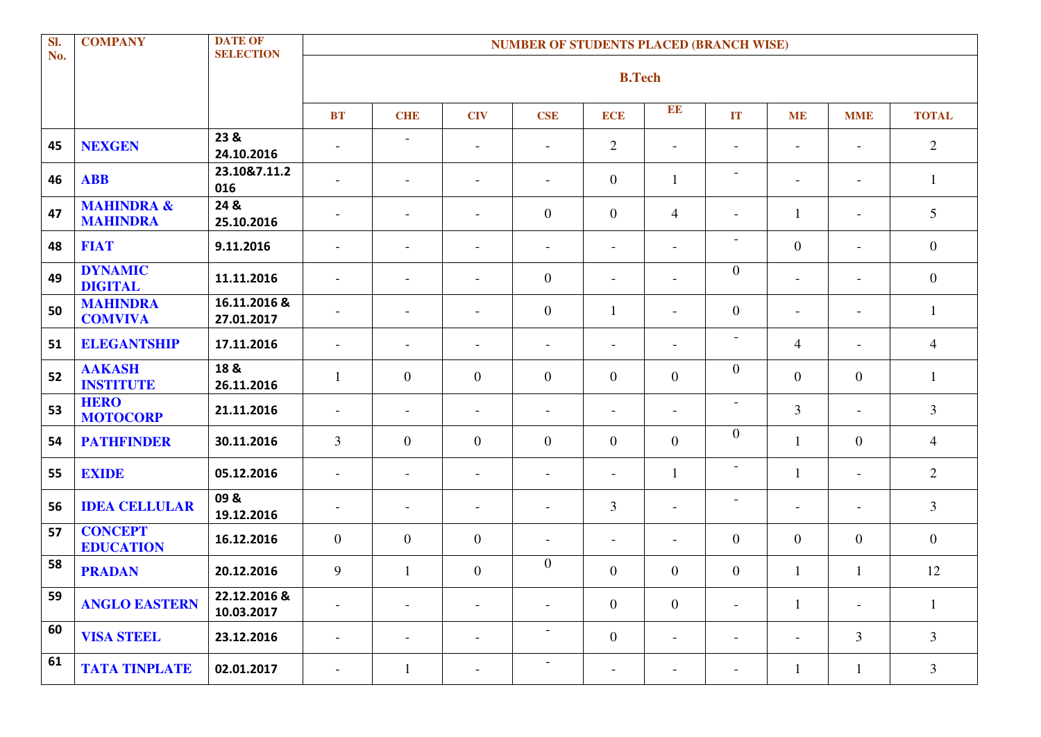| SI.<br>No. | <b>COMPANY</b>                           | <b>DATE OF</b><br><b>SELECTION</b> |                          |                          |                          | <b>NUMBER OF STUDENTS PLACED (BRANCH WISE)</b> |                          |                          |                          |                              |                          |                |
|------------|------------------------------------------|------------------------------------|--------------------------|--------------------------|--------------------------|------------------------------------------------|--------------------------|--------------------------|--------------------------|------------------------------|--------------------------|----------------|
|            |                                          |                                    |                          |                          |                          |                                                | <b>B.Tech</b>            |                          |                          |                              |                          |                |
|            |                                          |                                    | <b>BT</b>                | <b>CHE</b>               | <b>CIV</b>               | <b>CSE</b>                                     | <b>ECE</b>               | EE                       | IT                       | <b>ME</b>                    | <b>MME</b>               | <b>TOTAL</b>   |
| 45         | <b>NEXGEN</b>                            | 23 &<br>24.10.2016                 | $\overline{\phantom{a}}$ | $\overline{\phantom{a}}$ | $\overline{\phantom{a}}$ | $\overline{\phantom{a}}$                       | $\sqrt{2}$               | $\overline{\phantom{a}}$ | $\overline{\phantom{a}}$ | $\qquad \qquad \blacksquare$ | $\overline{\phantom{a}}$ | $\overline{2}$ |
| 46         | <b>ABB</b>                               | 23.10&7.11.2<br>016                | $\overline{\phantom{a}}$ | $\overline{\phantom{a}}$ | $\overline{\phantom{a}}$ | $\overline{\phantom{a}}$                       | $\overline{0}$           | 1                        | $\overline{\phantom{a}}$ | $\overline{\phantom{a}}$     | $\overline{\phantom{a}}$ | $\mathbf{1}$   |
| 47         | <b>MAHINDRA &amp;</b><br><b>MAHINDRA</b> | 24 &<br>25.10.2016                 | $\overline{\phantom{a}}$ | $\overline{\phantom{a}}$ | $\overline{\phantom{a}}$ | $\overline{0}$                                 | $\boldsymbol{0}$         | $\overline{4}$           | $\overline{\phantom{a}}$ | $\mathbf{1}$                 | $\overline{\phantom{a}}$ | 5              |
| 48         | <b>FIAT</b>                              | 9.11.2016                          | $\overline{\phantom{a}}$ | $\overline{\phantom{a}}$ | $\overline{\phantom{a}}$ | $\overline{\phantom{a}}$                       | $\overline{\phantom{a}}$ | $\overline{\phantom{a}}$ | $\overline{\phantom{a}}$ | $\mathbf{0}$                 | $\overline{\phantom{a}}$ | $\overline{0}$ |
| 49         | <b>DYNAMIC</b><br><b>DIGITAL</b>         | 11.11.2016                         | $\overline{\phantom{a}}$ | $\overline{\phantom{a}}$ | $\overline{\phantom{a}}$ | $\overline{0}$                                 | $\overline{\phantom{a}}$ | $\overline{\phantom{a}}$ | $\overline{0}$           | $\overline{\phantom{a}}$     | $\overline{\phantom{a}}$ | $\overline{0}$ |
| 50         | <b>MAHINDRA</b><br><b>COMVIVA</b>        | 16.11.2016 &<br>27.01.2017         | $\overline{\phantom{a}}$ | $\overline{\phantom{a}}$ | $\overline{\phantom{a}}$ | $\overline{0}$                                 | $\mathbf{1}$             | $\overline{\phantom{a}}$ | $\overline{0}$           | $\overline{\phantom{a}}$     | $\overline{\phantom{a}}$ |                |
| 51         | <b>ELEGANTSHIP</b>                       | 17.11.2016                         | $\overline{\phantom{a}}$ | $\overline{\phantom{a}}$ | $\overline{\phantom{a}}$ | $\overline{\phantom{a}}$                       | $\overline{\phantom{a}}$ | $\overline{\phantom{a}}$ | $\sim$                   | $\overline{4}$               | $\overline{\phantom{a}}$ | $\overline{4}$ |
| 52         | <b>AAKASH</b><br><b>INSTITUTE</b>        | 18 &<br>26.11.2016                 | 1                        | $\boldsymbol{0}$         | $\overline{0}$           | $\overline{0}$                                 | $\boldsymbol{0}$         | $\mathbf{0}$             | $\overline{0}$           | $\mathbf{0}$                 | $\overline{0}$           | 1              |
| 53         | <b>HERO</b><br><b>MOTOCORP</b>           | 21.11.2016                         | $\overline{\phantom{a}}$ | $\overline{\phantom{a}}$ | $\overline{\phantom{a}}$ | $\overline{\phantom{a}}$                       | $\overline{\phantom{a}}$ | $\overline{\phantom{a}}$ | $\overline{\phantom{a}}$ | 3                            | $\overline{\phantom{a}}$ | $\overline{3}$ |
| 54         | <b>PATHFINDER</b>                        | 30.11.2016                         | 3                        | $\boldsymbol{0}$         | $\overline{0}$           | $\overline{0}$                                 | $\overline{0}$           | $\boldsymbol{0}$         | $\overline{0}$           | $\mathbf{1}$                 | $\overline{0}$           | $\overline{4}$ |
| 55         | <b>EXIDE</b>                             | 05.12.2016                         | $\overline{\phantom{a}}$ | $\overline{\phantom{a}}$ | $\overline{\phantom{a}}$ | $\overline{\phantom{a}}$                       | $\overline{\phantom{a}}$ | $\mathbf{1}$             | $\overline{\phantom{a}}$ | 1                            | $\overline{\phantom{a}}$ | 2              |
| 56         | <b>IDEA CELLULAR</b>                     | 09&<br>19.12.2016                  | $\overline{\phantom{a}}$ | $\overline{\phantom{a}}$ | $\overline{\phantom{a}}$ | $\overline{\phantom{a}}$                       | 3                        | $\overline{\phantom{a}}$ | $\overline{\phantom{a}}$ | $\overline{\phantom{a}}$     | $\overline{\phantom{a}}$ | $\overline{3}$ |
| 57         | <b>CONCEPT</b><br><b>EDUCATION</b>       | 16.12.2016                         | $\overline{0}$           | $\mathbf{0}$             | $\overline{0}$           | $\overline{\phantom{a}}$                       | $\overline{\phantom{a}}$ | $\overline{\phantom{a}}$ | $\overline{0}$           | $\overline{0}$               | $\overline{0}$           | $\overline{0}$ |
| 58         | <b>PRADAN</b>                            | 20.12.2016                         | 9                        | 1                        | $\overline{0}$           | $\overline{0}$                                 | $\mathbf{0}$             | $\overline{0}$           | $\overline{0}$           | 1                            |                          | 12             |
| 59         | <b>ANGLO EASTERN</b>                     | 22.12.2016 &<br>10.03.2017         | $\overline{\phantom{a}}$ | $\overline{\phantom{a}}$ | $\overline{\phantom{a}}$ | $\overline{\phantom{a}}$                       | $\mathbf{0}$             | $\boldsymbol{0}$         | $\overline{\phantom{a}}$ | $\mathbf{1}$                 | $\overline{\phantom{a}}$ | 1              |
| 60         | <b>VISA STEEL</b>                        | 23.12.2016                         | $\overline{\phantom{a}}$ | $\overline{\phantom{a}}$ | $\overline{\phantom{a}}$ | $\overline{\phantom{a}}$                       | $\boldsymbol{0}$         | $\overline{\phantom{a}}$ | $\overline{\phantom{a}}$ | $\overline{\phantom{a}}$     | $\mathfrak{Z}$           | 3              |
| 61         | <b>TATA TINPLATE</b>                     | 02.01.2017                         | $\overline{\phantom{a}}$ | 1                        | $\overline{\phantom{a}}$ | $\overline{\phantom{a}}$                       | $\overline{\phantom{a}}$ | $\overline{\phantom{a}}$ |                          | $\mathbf{1}$                 | 1                        | 3              |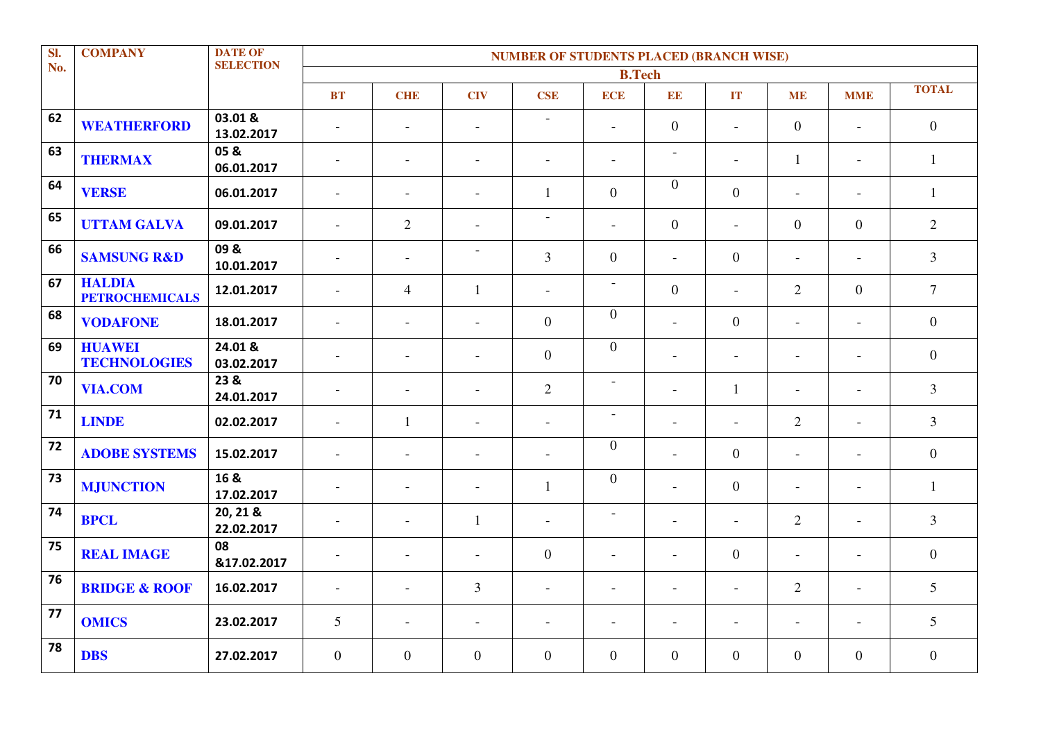| SI. | <b>COMPANY</b>                         | <b>DATE OF</b>         | <b>NUMBER OF STUDENTS PLACED (BRANCH WISE)</b> |                          |                          |                          |                          |                          |                          |                          |                |                  |  |
|-----|----------------------------------------|------------------------|------------------------------------------------|--------------------------|--------------------------|--------------------------|--------------------------|--------------------------|--------------------------|--------------------------|----------------|------------------|--|
| No. |                                        | <b>SELECTION</b>       |                                                |                          |                          |                          | <b>B.Tech</b>            |                          |                          |                          |                |                  |  |
|     |                                        |                        | <b>BT</b>                                      | <b>CHE</b>               | <b>CIV</b>               | <b>CSE</b>               | <b>ECE</b>               | EE                       | IT                       | <b>ME</b>                | <b>MME</b>     | <b>TOTAL</b>     |  |
| 62  | <b>WEATHERFORD</b>                     | 03.01 &<br>13.02.2017  | $\sim$                                         | $\overline{\phantom{a}}$ | $\overline{a}$           | $\equiv$                 | $\overline{a}$           | $\overline{0}$           | $\sim$                   | $\overline{0}$           | $\overline{a}$ | $\overline{0}$   |  |
| 63  | <b>THERMAX</b>                         | 05 &<br>06.01.2017     | $\sim$                                         | $\blacksquare$           | $\overline{\phantom{a}}$ | $\overline{\phantom{a}}$ | $\overline{\phantom{a}}$ | $\overline{a}$           | $\blacksquare$           | $\mathbf{1}$             | $\blacksquare$ | $\mathbf{1}$     |  |
| 64  | <b>VERSE</b>                           | 06.01.2017             | $\overline{\phantom{a}}$                       | $\overline{a}$           | $\overline{a}$           | 1                        | $\overline{0}$           | $\overline{0}$           | $\overline{0}$           | $\overline{a}$           | $\blacksquare$ | 1                |  |
| 65  | <b>UTTAM GALVA</b>                     | 09.01.2017             | $\overline{a}$                                 | $\overline{2}$           | $\overline{\phantom{a}}$ | $\overline{\phantom{a}}$ | $\overline{\phantom{a}}$ | $\overline{0}$           | $\overline{a}$           | $\overline{0}$           | $\overline{0}$ | $\overline{2}$   |  |
| 66  | <b>SAMSUNG R&amp;D</b>                 | 09&<br>10.01.2017      | $\overline{\phantom{a}}$                       | $\blacksquare$           | $\overline{\phantom{a}}$ | $\overline{3}$           | $\overline{0}$           | $\overline{a}$           | $\overline{0}$           | $\blacksquare$           | $\overline{a}$ | $\overline{3}$   |  |
| 67  | <b>HALDIA</b><br><b>PETROCHEMICALS</b> | 12.01.2017             | $\blacksquare$                                 | $\overline{4}$           | $\mathbf{1}$             | $\equiv$                 | $\overline{\phantom{a}}$ | $\overline{0}$           | $\blacksquare$           | 2                        | $\overline{0}$ | $\overline{7}$   |  |
| 68  | <b>VODAFONE</b>                        | 18.01.2017             | $\overline{a}$                                 | $\overline{a}$           | $\overline{\phantom{a}}$ | $\overline{0}$           | $\overline{0}$           | $\blacksquare$           | $\overline{0}$           | $\blacksquare$           | $\overline{a}$ | $\overline{0}$   |  |
| 69  | <b>HUAWEI</b><br><b>TECHNOLOGIES</b>   | 24.01 &<br>03.02.2017  | $\sim$                                         | $\overline{a}$           | $\overline{a}$           | $\boldsymbol{0}$         | $\boldsymbol{0}$         | $\overline{\phantom{a}}$ | $\overline{a}$           | $\overline{\phantom{a}}$ | $\overline{a}$ | $\boldsymbol{0}$ |  |
| 70  | <b>VIA.COM</b>                         | 23 &<br>24.01.2017     | $\overline{\phantom{a}}$                       | $\overline{a}$           | L.                       | $\overline{2}$           | $\overline{\phantom{a}}$ | $\overline{a}$           | $\mathbf{1}$             | $\overline{a}$           | $\overline{a}$ | $\overline{3}$   |  |
| 71  | <b>LINDE</b>                           | 02.02.2017             | $\blacksquare$                                 | $\mathbf{1}$             | $\overline{\phantom{a}}$ | $\blacksquare$           | $\overline{\phantom{a}}$ | $\overline{\phantom{a}}$ | $\sim$                   | $\overline{2}$           | $\sim$         | $\overline{3}$   |  |
| 72  | <b>ADOBE SYSTEMS</b>                   | 15.02.2017             | $\sim$                                         | $\overline{a}$           | $\overline{\phantom{a}}$ | $\overline{\phantom{a}}$ | $\overline{0}$           | $\blacksquare$           | $\overline{0}$           | $\blacksquare$           | $\equiv$       | $\overline{0}$   |  |
| 73  | <b>MJUNCTION</b>                       | 16 &<br>17.02.2017     | $\overline{\phantom{a}}$                       | $\blacksquare$           | $\overline{\phantom{a}}$ | $\mathbf{1}$             | $\overline{0}$           | $\overline{\phantom{a}}$ | $\overline{0}$           | $\overline{\phantom{a}}$ | $\blacksquare$ | $\mathbf{1}$     |  |
| 74  | <b>BPCL</b>                            | 20, 21 &<br>22.02.2017 | $\sim$                                         | $\blacksquare$           | 1                        | $\overline{\phantom{a}}$ |                          | $\overline{\phantom{a}}$ | $\overline{\phantom{a}}$ | 2                        | $\equiv$       | $\overline{3}$   |  |
| 75  | <b>REAL IMAGE</b>                      | 08<br>&17.02.2017      | $\overline{\phantom{a}}$                       | $\overline{a}$           | $\overline{\phantom{a}}$ | $\overline{0}$           | $\overline{\phantom{a}}$ | $\overline{\phantom{a}}$ | $\overline{0}$           | $\blacksquare$           | $\equiv$       | $\overline{0}$   |  |
| 76  | <b>BRIDGE &amp; ROOF</b>               | 16.02.2017             | $\blacksquare$                                 | $\overline{a}$           | $\overline{3}$           | $\blacksquare$           | $\overline{\phantom{a}}$ | $\overline{\phantom{a}}$ | $\overline{a}$           | 2                        | $\overline{a}$ | 5                |  |
| 77  | <b>OMICS</b>                           | 23.02.2017             | 5                                              | $\sim$                   | $\overline{\phantom{a}}$ | $\sim$                   | $\overline{\phantom{a}}$ | L,                       | $\overline{a}$           | $\overline{\phantom{a}}$ | $\equiv$       | 5                |  |
| 78  | <b>DBS</b>                             | 27.02.2017             | $\overline{0}$                                 | $\overline{0}$           | $\theta$                 | $\boldsymbol{0}$         | $\overline{0}$           | $\overline{0}$           | $\overline{0}$           | $\overline{0}$           | $\overline{0}$ | $\boldsymbol{0}$ |  |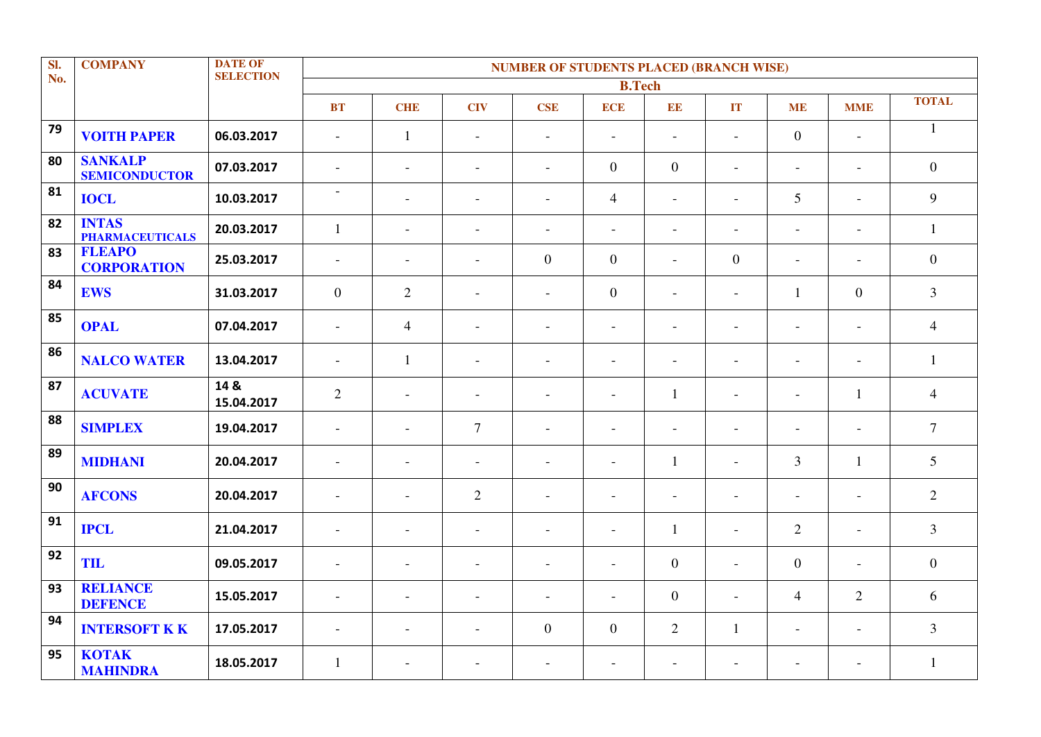| SI. | <b>COMPANY</b>                         | <b>DATE OF</b>     | <b>NUMBER OF STUDENTS PLACED (BRANCH WISE)</b> |                          |                          |                          |                          |                          |                          |                          |                          |                |  |
|-----|----------------------------------------|--------------------|------------------------------------------------|--------------------------|--------------------------|--------------------------|--------------------------|--------------------------|--------------------------|--------------------------|--------------------------|----------------|--|
| No. |                                        | <b>SELECTION</b>   |                                                |                          |                          |                          | <b>B.Tech</b>            |                          |                          |                          |                          |                |  |
|     |                                        |                    | <b>BT</b>                                      | <b>CHE</b>               | <b>CIV</b>               | <b>CSE</b>               | <b>ECE</b>               | EE                       | IT                       | <b>ME</b>                | <b>MME</b>               | <b>TOTAL</b>   |  |
| 79  | <b>VOITH PAPER</b>                     | 06.03.2017         | $\blacksquare$                                 | $\mathbf{1}$             | $\overline{\phantom{a}}$ | $\overline{\phantom{a}}$ | $\bar{a}$                | $\overline{\phantom{a}}$ | $\overline{a}$           | $\mathbf{0}$             | $\overline{\phantom{a}}$ | $\mathbf{1}$   |  |
| 80  | <b>SANKALP</b><br><b>SEMICONDUCTOR</b> | 07.03.2017         | $\blacksquare$                                 | $\blacksquare$           | $\overline{\phantom{a}}$ | $\blacksquare$           | $\overline{0}$           | $\overline{0}$           | $\overline{a}$           | $\overline{\phantom{a}}$ | $\blacksquare$           | $\overline{0}$ |  |
| 81  | <b>IOCL</b>                            | 10.03.2017         | $\overline{\phantom{a}}$                       | $\blacksquare$           | $\overline{a}$           | $\overline{\phantom{a}}$ | $\overline{4}$           | $\overline{\phantom{a}}$ | $\overline{a}$           | 5                        | $\overline{a}$           | 9              |  |
| 82  | <b>INTAS</b><br><b>PHARMACEUTICALS</b> | 20.03.2017         | $\mathbf{1}$                                   | $\overline{\phantom{a}}$ | $\overline{\phantom{a}}$ | $\overline{\phantom{a}}$ | $\overline{\phantom{a}}$ | $\overline{\phantom{a}}$ | $\overline{a}$           | $\overline{\phantom{a}}$ | $\blacksquare$           | $\mathbf{1}$   |  |
| 83  | <b>FLEAPO</b><br><b>CORPORATION</b>    | 25.03.2017         | $\overline{\phantom{a}}$                       | $\overline{\phantom{a}}$ | $\blacksquare$           | $\boldsymbol{0}$         | $\overline{0}$           | $\overline{\phantom{a}}$ | $\overline{0}$           | $\overline{\phantom{a}}$ | $\overline{\phantom{a}}$ | $\overline{0}$ |  |
| 84  | <b>EWS</b>                             | 31.03.2017         | $\overline{0}$                                 | 2                        | $\overline{a}$           | $\overline{\phantom{a}}$ | $\boldsymbol{0}$         | $\overline{\phantom{a}}$ | L,                       | $\mathbf{1}$             | $\boldsymbol{0}$         | $\overline{3}$ |  |
| 85  | <b>OPAL</b>                            | 07.04.2017         | $\sim$                                         | $\overline{4}$           |                          | $\sim$                   | $\overline{\phantom{a}}$ | $\overline{\phantom{a}}$ | $\overline{\phantom{a}}$ | $\overline{\phantom{a}}$ | $\overline{a}$           | $\overline{4}$ |  |
| 86  | <b>NALCO WATER</b>                     | 13.04.2017         | $\overline{a}$                                 | $\mathbf{1}$             | $\overline{\phantom{a}}$ | $\blacksquare$           | $\sim$                   | $\sim$                   | $\overline{a}$           | $\overline{\phantom{a}}$ | $\overline{a}$           | $\mathbf{1}$   |  |
| 87  | <b>ACUVATE</b>                         | 14 &<br>15.04.2017 | $\overline{2}$                                 | $\overline{a}$           | $\overline{\phantom{a}}$ | $\overline{\phantom{a}}$ | $\sim$                   | $\mathbf{1}$             | $\overline{a}$           | $\overline{\phantom{a}}$ | $\mathbf{1}$             | $\overline{4}$ |  |
| 88  | <b>SIMPLEX</b>                         | 19.04.2017         | $\overline{\phantom{a}}$                       | $\overline{\phantom{a}}$ | $\overline{7}$           | $\overline{\phantom{a}}$ | $\overline{\phantom{a}}$ | $\overline{\phantom{a}}$ | L,                       | $\overline{\phantom{a}}$ | $\overline{\phantom{a}}$ | $\overline{7}$ |  |
| 89  | <b>MIDHANI</b>                         | 20.04.2017         | $\overline{\phantom{a}}$                       | $\overline{\phantom{a}}$ | $\overline{\phantom{a}}$ | $\overline{\phantom{a}}$ | $\overline{\phantom{a}}$ | $\mathbf{1}$             | $\overline{a}$           | $\overline{3}$           | $\mathbf{1}$             | 5              |  |
| 90  | <b>AFCONS</b>                          | 20.04.2017         | $\overline{\phantom{a}}$                       | $\equiv$                 | 2                        | $\overline{\phantom{a}}$ | $\overline{\phantom{a}}$ | $\overline{\phantom{a}}$ | $\overline{a}$           | $\overline{\phantom{a}}$ | $\blacksquare$           | $\overline{2}$ |  |
| 91  | <b>IPCL</b>                            | 21.04.2017         | $\blacksquare$                                 | $\equiv$                 | $\blacksquare$           | $\blacksquare$           | $\sim$                   | $\mathbf{1}$             | $\overline{a}$           | $\overline{2}$           | $\overline{\phantom{a}}$ | $\overline{3}$ |  |
| 92  | TIL                                    | 09.05.2017         | $\overline{\phantom{a}}$                       | $\overline{\phantom{a}}$ | $\blacksquare$           | $\overline{\phantom{a}}$ | $\overline{\phantom{a}}$ | $\mathbf{0}$             | ۳                        | $\overline{0}$           | $\blacksquare$           | $\overline{0}$ |  |
| 93  | <b>RELIANCE</b><br><b>DEFENCE</b>      | 15.05.2017         | $\blacksquare$                                 | $\overline{a}$           | $\overline{a}$           | $\blacksquare$           | $\overline{a}$           | $\mathbf{0}$             | $\overline{a}$           | $\overline{4}$           | $\overline{2}$           | 6              |  |
| 94  | <b>INTERSOFT KK</b>                    | 17.05.2017         | $\blacksquare$                                 | $\blacksquare$           | $\overline{\phantom{a}}$ | $\boldsymbol{0}$         | $\overline{0}$           | $\overline{2}$           | $\mathbf{1}$             | $\overline{\phantom{a}}$ | $\equiv$                 | $\overline{3}$ |  |
| 95  | <b>KOTAK</b><br><b>MAHINDRA</b>        | 18.05.2017         | $\mathbf{1}$                                   | $\blacksquare$           |                          |                          | $\overline{\phantom{a}}$ |                          |                          |                          | $\overline{\phantom{a}}$ | $\mathbf{1}$   |  |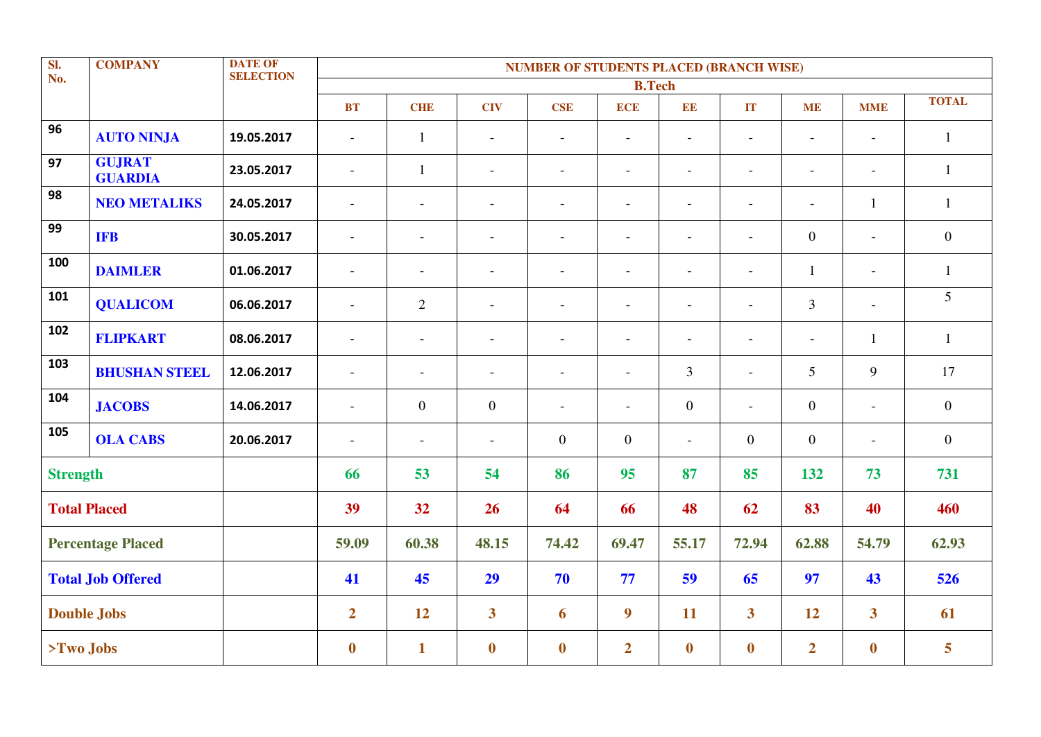| SI.<br><b>DATE OF</b><br><b>COMPANY</b><br><b>NUMBER OF STUDENTS PLACED (BRANCH WISE)</b><br><b>SELECTION</b><br>No. |                                 |            |                          |                          |                          |                          |                          |                          |                          |                          |                          |                |
|----------------------------------------------------------------------------------------------------------------------|---------------------------------|------------|--------------------------|--------------------------|--------------------------|--------------------------|--------------------------|--------------------------|--------------------------|--------------------------|--------------------------|----------------|
|                                                                                                                      |                                 |            |                          |                          |                          |                          | <b>B.Tech</b>            |                          |                          |                          |                          |                |
|                                                                                                                      |                                 |            | <b>BT</b>                | <b>CHE</b>               | <b>CIV</b>               | <b>CSE</b>               | <b>ECE</b>               | $\mathbf{EE}$            | $\mathbf{IT}$            | <b>ME</b>                | <b>MME</b>               | <b>TOTAL</b>   |
| 96                                                                                                                   | <b>AUTO NINJA</b>               | 19.05.2017 | $\blacksquare$           | $\mathbf{1}$             |                          |                          | $\overline{a}$           |                          | $\overline{a}$           | $\overline{\phantom{0}}$ |                          | $\mathbf{1}$   |
| 97                                                                                                                   | <b>GUJRAT</b><br><b>GUARDIA</b> | 23.05.2017 | $\overline{\phantom{a}}$ | $\mathbf{1}$             | $\overline{\phantom{a}}$ | $\overline{\phantom{a}}$ | $\overline{a}$           | $\equiv$                 | $\blacksquare$           | $\overline{\phantom{a}}$ | $\sim$                   | $\mathbf{1}$   |
| 98                                                                                                                   | <b>NEO METALIKS</b>             | 24.05.2017 | $\blacksquare$           |                          | $\overline{a}$           |                          | $\blacksquare$           |                          | $\blacksquare$           | $\overline{\phantom{a}}$ | $\mathbf{1}$             | $\mathbf{1}$   |
| 99                                                                                                                   | <b>IFB</b>                      | 30.05.2017 | $\blacksquare$           |                          | $\overline{a}$           |                          | $\overline{a}$           |                          | $\overline{a}$           | $\boldsymbol{0}$         | $\overline{a}$           | $\overline{0}$ |
| 100                                                                                                                  | <b>DAIMLER</b>                  | 01.06.2017 | $\overline{\phantom{a}}$ |                          | $\sim$                   | $\blacksquare$           | $\overline{a}$           | $\overline{\phantom{a}}$ | $\blacksquare$           | $\mathbf{1}$             | $\blacksquare$           | $\mathbf{1}$   |
| 101                                                                                                                  | <b>QUALICOM</b>                 | 06.06.2017 | $\blacksquare$           | $\mathbf{2}$             | $\overline{a}$           | $\overline{a}$           | $\overline{\phantom{a}}$ | $\equiv$                 | $\sim$                   | $\mathfrak{Z}$           | $\overline{a}$           | 5              |
| 102                                                                                                                  | <b>FLIPKART</b>                 | 08.06.2017 | $\overline{\phantom{a}}$ | $\overline{\phantom{a}}$ | $\sim$                   | $\blacksquare$           | $\overline{\phantom{a}}$ | $\overline{\phantom{a}}$ | $\overline{\phantom{a}}$ | $\overline{\phantom{a}}$ | $\mathbf{1}$             | $\mathbf{1}$   |
| 103                                                                                                                  | <b>BHUSHAN STEEL</b>            | 12.06.2017 | $\overline{\phantom{a}}$ | $\overline{\phantom{a}}$ | $\overline{\phantom{a}}$ | $\overline{\phantom{a}}$ | $\overline{\phantom{a}}$ | $\overline{3}$           | $\blacksquare$           | 5                        | 9                        | 17             |
| 104                                                                                                                  | <b>JACOBS</b>                   | 14.06.2017 | $\blacksquare$           | $\overline{0}$           | $\boldsymbol{0}$         | $\overline{a}$           | $\blacksquare$           | $\overline{0}$           | $\overline{a}$           | $\mathbf{0}$             | $\overline{a}$           | $\overline{0}$ |
| 105                                                                                                                  | <b>OLA CABS</b>                 | 20.06.2017 | $\overline{\phantom{a}}$ | $\overline{\phantom{a}}$ | $\overline{\phantom{a}}$ | $\overline{0}$           | $\overline{0}$           | $\equiv$                 | $\mathbf{0}$             | $\mathbf{0}$             | $\overline{\phantom{a}}$ | $\overline{0}$ |
| <b>Strength</b>                                                                                                      |                                 |            | 66                       | 53                       | 54                       | 86                       | 95                       | 87                       | 85                       | 132                      | 73                       | 731            |
|                                                                                                                      | <b>Total Placed</b>             |            | 39                       | 32                       | 26                       | 64                       | 66                       | 48                       | 62                       | 83                       | 40                       | 460            |
|                                                                                                                      | <b>Percentage Placed</b>        |            | 59.09                    | 60.38                    | 48.15                    | 74.42                    | 69.47                    | 55.17                    | 72.94                    | 62.88                    | 54.79                    | 62.93          |
| <b>Total Job Offered</b>                                                                                             |                                 |            | 41                       | 45                       | 29                       | 70                       | 77                       | 59                       | 65                       | 97                       | 43                       | 526            |
|                                                                                                                      | <b>Double Jobs</b>              |            | $\overline{2}$           | 12                       | $\overline{\mathbf{3}}$  | 6                        | $\boldsymbol{9}$         | 11                       | $\overline{\mathbf{3}}$  | 12                       | $\overline{\mathbf{3}}$  | 61             |
| $> Two$ Jobs                                                                                                         |                                 |            | $\boldsymbol{0}$         | $\mathbf{1}$             | $\boldsymbol{0}$         | $\bf{0}$                 | $\overline{2}$           | $\bf{0}$                 | $\boldsymbol{0}$         | $\overline{2}$           | $\mathbf{0}$             | 5              |